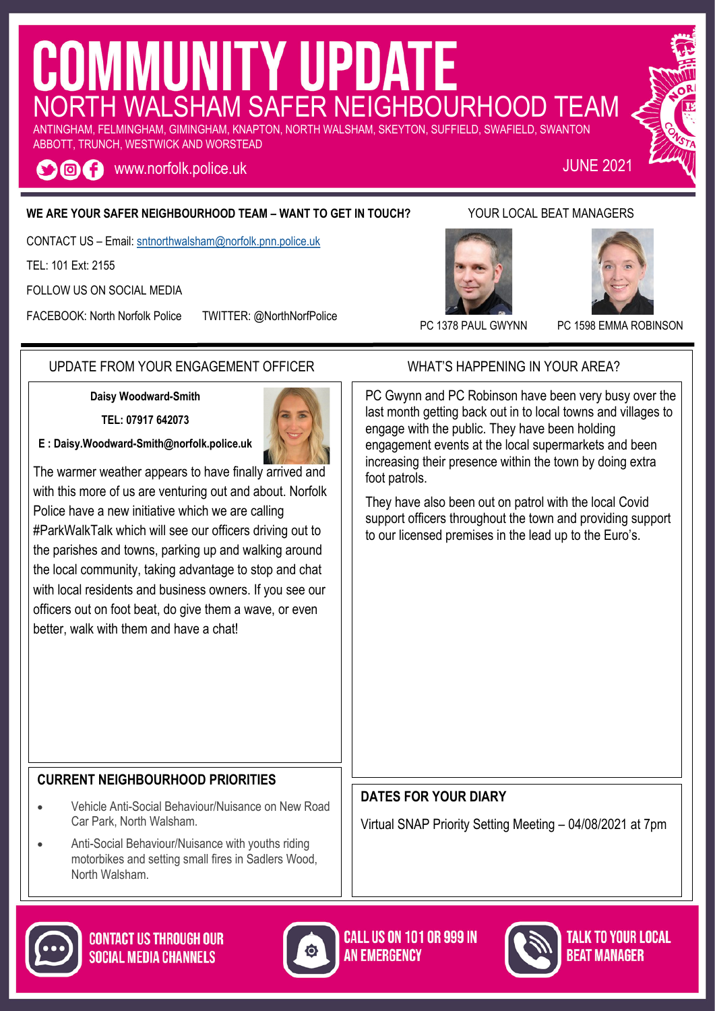# **COMMUNITY UPDATE**<br>NORTH WALSHAM SAFER NEIGHBOURHOOD TEAM ANTINGHAM, FELMINGHAM, GIMINGHAM, KNAPTON, NORTH WALSHAM, SKEYTON, SUFFIELD, SWAFIELD, SWANTON

ABBOTT, TRUNCH, WESTWICK AND WORSTEAD

www.norfolk.police.uk JUNE 2021 **MOG** 

#### **WE ARE YOUR SAFER NEIGHBOURHOOD TEAM – WANT TO GET IN TOUCH?** YOUR LOCAL BEAT MANAGERS

CONTACT US – Email: [sntnorthwalsham@norfolk.pnn.police.uk](mailto:sntwells@norfolk.pnn.police.uk)

TEL: 101 Ext: 2155

FOLLOW US ON SOCIAL MEDIA

FACEBOOK: North Norfolk Police TWITTER: @NorthNorfPolice





PC 1378 PAUL GWYNN PC 1598 EMMA ROBINSON

### UPDATE FROM YOUR ENGAGEMENT OFFICER WHAT'S HAPPENING IN YOUR AREA?

**Daisy Woodward-Smith**

**TEL: 07917 642073**

**E : [Daisy.Woodward-Smit](mailto:Paula.Gilluley@norfolk.pnn.police.uk)h@norfolk.police.uk**



PC Gwynn and PC Robinson have been very busy over the last month getting back out in to local towns and villages to engage with the public. They have been holding engagement events at the local supermarkets and been increasing their presence within the town by doing extra foot patrols.

They have also been out on patrol with the local Covid support officers throughout the town and providing support to our licensed premises in the lead up to the Euro's.

#### **CURRENT NEIGHBOURHOOD PRIORITIES**

- Vehicle Anti-Social Behaviour/Nuisance on New Road Car Park, North Walsham.
- Anti-Social Behaviour/Nuisance with youths riding motorbikes and setting small fires in Sadlers Wood, North Walsham.

#### **DATES FOR YOUR DIARY**

Virtual SNAP Priority Setting Meeting – 04/08/2021 at 7pm